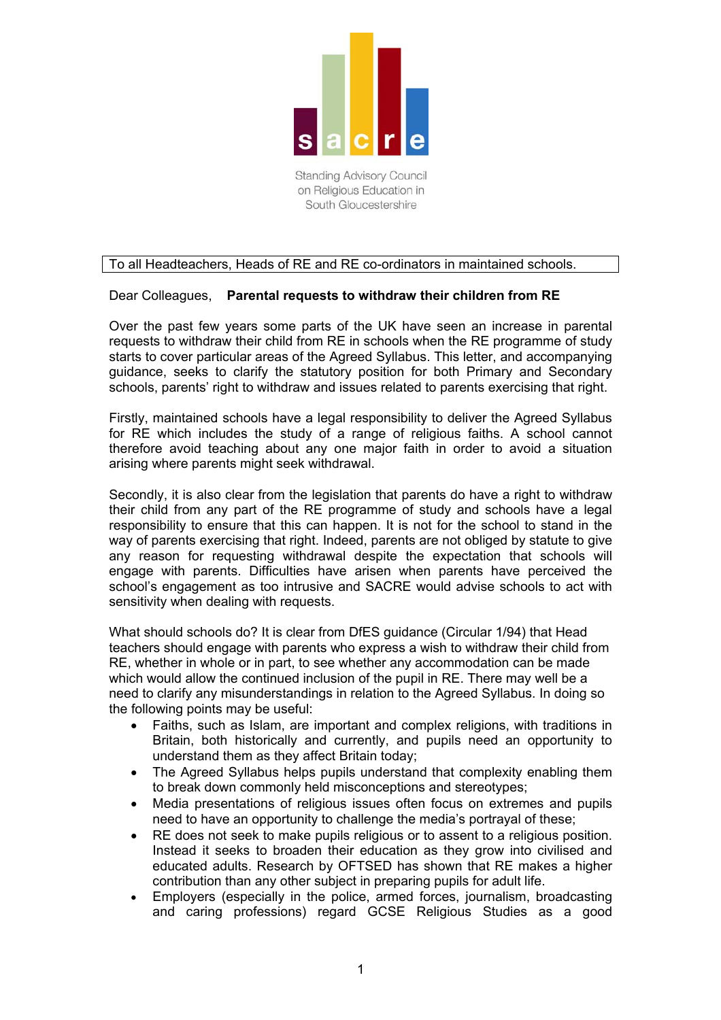

on Religious Education in South Gloucestershire

## To all Headteachers, Heads of RE and RE co-ordinators in maintained schools.

## Dear Colleagues, **Parental requests to withdraw their children from RE**

Over the past few years some parts of the UK have seen an increase in parental requests to withdraw their child from RE in schools when the RE programme of study starts to cover particular areas of the Agreed Syllabus. This letter, and accompanying guidance, seeks to clarify the statutory position for both Primary and Secondary schools, parents' right to withdraw and issues related to parents exercising that right.

Firstly, maintained schools have a legal responsibility to deliver the Agreed Syllabus for RE which includes the study of a range of religious faiths. A school cannot therefore avoid teaching about any one major faith in order to avoid a situation arising where parents might seek withdrawal.

Secondly, it is also clear from the legislation that parents do have a right to withdraw their child from any part of the RE programme of study and schools have a legal responsibility to ensure that this can happen. It is not for the school to stand in the way of parents exercising that right. Indeed, parents are not obliged by statute to give any reason for requesting withdrawal despite the expectation that schools will engage with parents. Difficulties have arisen when parents have perceived the school's engagement as too intrusive and SACRE would advise schools to act with sensitivity when dealing with requests.

What should schools do? It is clear from DfES guidance (Circular 1/94) that Head teachers should engage with parents who express a wish to withdraw their child from RE, whether in whole or in part, to see whether any accommodation can be made which would allow the continued inclusion of the pupil in RE. There may well be a need to clarify any misunderstandings in relation to the Agreed Syllabus. In doing so the following points may be useful:

- Faiths, such as Islam, are important and complex religions, with traditions in Britain, both historically and currently, and pupils need an opportunity to understand them as they affect Britain today;
- The Agreed Syllabus helps pupils understand that complexity enabling them to break down commonly held misconceptions and stereotypes;
- Media presentations of religious issues often focus on extremes and pupils need to have an opportunity to challenge the media's portrayal of these;
- RE does not seek to make pupils religious or to assent to a religious position. Instead it seeks to broaden their education as they grow into civilised and educated adults. Research by OFTSED has shown that RE makes a higher contribution than any other subject in preparing pupils for adult life.
- Employers (especially in the police, armed forces, journalism, broadcasting and caring professions) regard GCSE Religious Studies as a good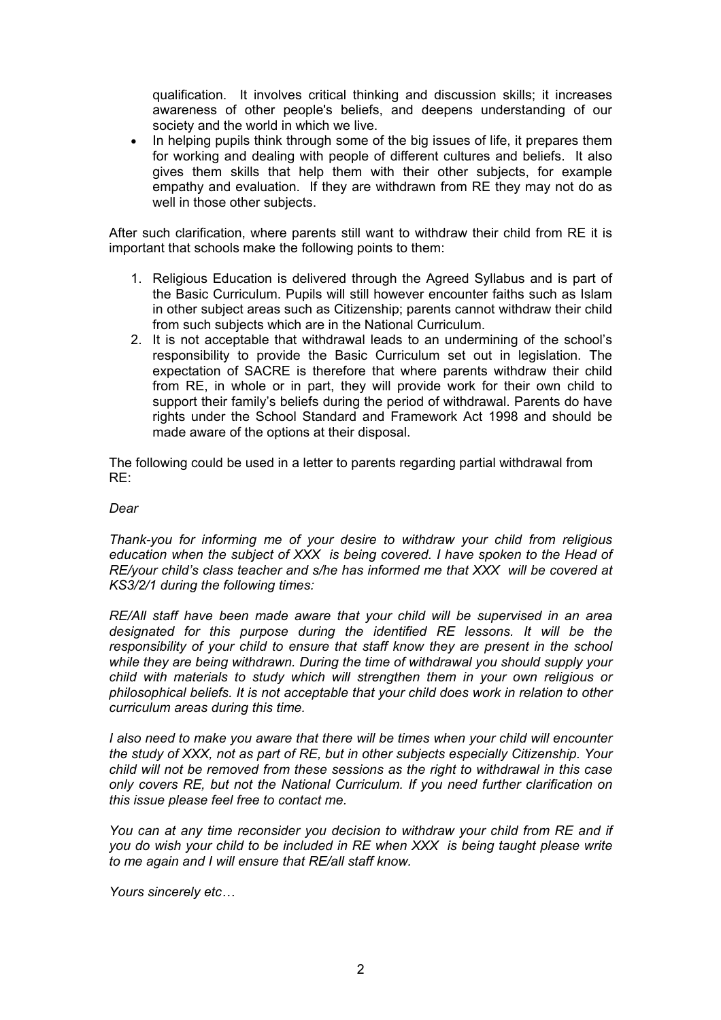qualification. It involves critical thinking and discussion skills; it increases awareness of other people's beliefs, and deepens understanding of our society and the world in which we live.

• In helping pupils think through some of the big issues of life, it prepares them for working and dealing with people of different cultures and beliefs. It also gives them skills that help them with their other subjects, for example empathy and evaluation. If they are withdrawn from RE they may not do as well in those other subjects.

After such clarification, where parents still want to withdraw their child from RE it is important that schools make the following points to them:

- 1. Religious Education is delivered through the Agreed Syllabus and is part of the Basic Curriculum. Pupils will still however encounter faiths such as Islam in other subject areas such as Citizenship; parents cannot withdraw their child from such subjects which are in the National Curriculum.
- 2. It is not acceptable that withdrawal leads to an undermining of the school's responsibility to provide the Basic Curriculum set out in legislation. The expectation of SACRE is therefore that where parents withdraw their child from RE, in whole or in part, they will provide work for their own child to support their family's beliefs during the period of withdrawal. Parents do have rights under the School Standard and Framework Act 1998 and should be made aware of the options at their disposal.

The following could be used in a letter to parents regarding partial withdrawal from RE:

## *Dear*

*Thank-you for informing me of your desire to withdraw your child from religious education when the subject of XXX is being covered. I have spoken to the Head of RE/your child's class teacher and s/he has informed me that XXX will be covered at KS3/2/1 during the following times:* 

*RE/All staff have been made aware that your child will be supervised in an area designated for this purpose during the identified RE lessons. It will be the responsibility of your child to ensure that staff know they are present in the school while they are being withdrawn. During the time of withdrawal you should supply your child with materials to study which will strengthen them in your own religious or philosophical beliefs. It is not acceptable that your child does work in relation to other curriculum areas during this time.* 

*I* also need to make you aware that there will be times when your child will encounter *the study of XXX, not as part of RE, but in other subjects especially Citizenship. Your child will not be removed from these sessions as the right to withdrawal in this case only covers RE, but not the National Curriculum. If you need further clarification on this issue please feel free to contact me.* 

You can at any time reconsider you decision to withdraw your child from RE and if *you do wish your child to be included in RE when XXX is being taught please write to me again and I will ensure that RE/all staff know.* 

*Yours sincerely etc…*